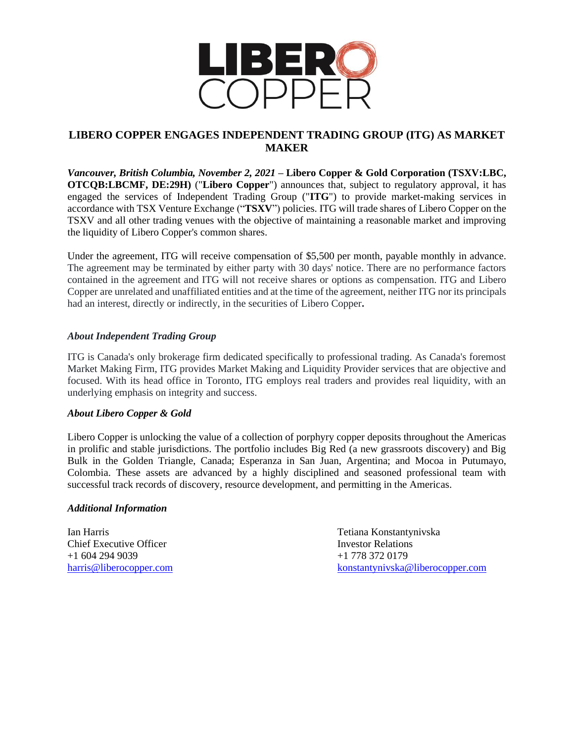

## **LIBERO COPPER ENGAGES INDEPENDENT TRADING GROUP (ITG) AS MARKET MAKER**

*Vancouver, British Columbia, November 2, 2021* **– Libero Copper & Gold Corporation (TSXV:LBC, OTCQB:LBCMF, DE:29H)** ("**Libero Copper**") announces that, subject to regulatory approval, it has engaged the services of Independent Trading Group ("**ITG**") to provide market-making services in accordance with TSX Venture Exchange ("**TSXV**") policies. ITG will trade shares of Libero Copper on the TSXV and all other trading venues with the objective of maintaining a reasonable market and improving the liquidity of Libero Copper's common shares.

Under the agreement, ITG will receive compensation of \$5,500 per month, payable monthly in advance. The agreement may be terminated by either party with 30 days' notice. There are no performance factors contained in the agreement and ITG will not receive shares or options as compensation. ITG and Libero Copper are unrelated and unaffiliated entities and at the time of the agreement, neither ITG nor its principals had an interest, directly or indirectly, in the securities of Libero Copper**.**

## *About Independent Trading Group*

ITG is Canada's only brokerage firm dedicated specifically to professional trading. As Canada's foremost Market Making Firm, ITG provides Market Making and Liquidity Provider services that are objective and focused. With its head office in Toronto, ITG employs real traders and provides real liquidity, with an underlying emphasis on integrity and success.

## *About Libero Copper & Gold*

Libero Copper is unlocking the value of a collection of porphyry copper deposits throughout the Americas in prolific and stable jurisdictions. The portfolio includes Big Red (a new grassroots discovery) and Big Bulk in the Golden Triangle, Canada; Esperanza in San Juan, Argentina; and Mocoa in Putumayo, Colombia. These assets are advanced by a highly disciplined and seasoned professional team with successful track records of discovery, resource development, and permitting in the Americas.

## *Additional Information*

Ian Harris Tetiana Konstantynivska Chief Executive Officer **Investor Relations** Investor Relations +1 604 294 9039 +1 778 372 0179

[harris@liberocopper.com](mailto:harris@liberocopper.com) [konstantynivska@liberocopper.com](mailto:konstantynivska@liberocopper.com)